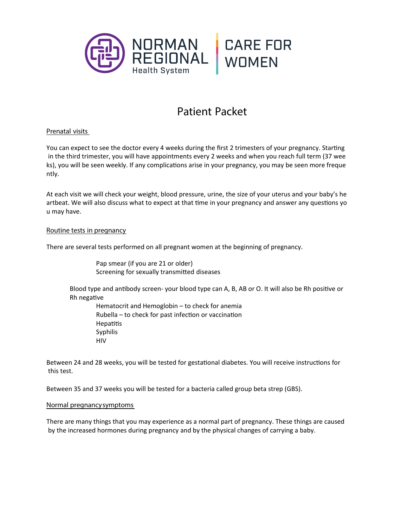

# **Patient Packet**

# **Prenatal visits**

You can expect to see the doctor every 4 weeks during the first 2 trimesters of your pregnancy. Starting in the third trimester, you will have appointments every 2 weeks and when you reach full term (37 wee ks), you will be seen weekly. If any complications arise in your pregnancy, you may be seen more freque ntly.

At each visit we will check your weight, blood pressure, urine, the size of your uterus and your baby's he artbeat. We will also discuss what to expect at that time in your pregnancy and answer any questions yo u may have.

# **Routine tests in pregnancy**

There are several tests performed on all pregnant women at the beginning of pregnancy.

Pap smear (if you are 21 or older) Screening for sexually transmitted diseases

Blood type and antibody screen- your blood type can A, B, AB or O. It will also be Rh positive or Rh negative

Hematocrit and Hemoglobin – to check for anemia Rubella – to check for past infection or vaccination **Hepatitis** Syphilis HIV

Between 24 and 28 weeks, you will be tested for gestational diabetes. You will receive instructions for this test.

Between 35 and 37 weeks you will be tested for a bacteria called group beta strep (GBS).

# **Normal pregnancysymptoms**

There are many things that you may experience as a normal part of pregnancy. These things are caused by the increased hormones during pregnancy and by the physical changes of carrying a baby.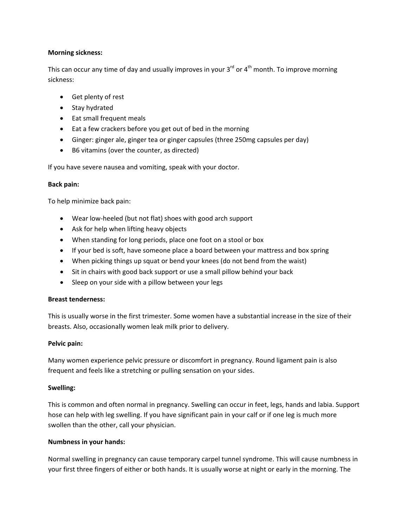## **Morning sickness:**

This can occur any time of day and usually improves in your  $3^{rd}$  or  $4^{th}$  month. To improve morning sickness:

- Get plenty of rest
- Stay hydrated
- Eat small frequent meals
- Eat a few crackers before you get out of bed in the morning
- Ginger: ginger ale, ginger tea or ginger capsules (three 250mg capsules per day)
- B6 vitamins (over the counter, as directed)

If you have severe nausea and vomiting, speak with your doctor.

## **Back pain:**

To help minimize back pain:

- Wear low‐heeled (but not flat) shoes with good arch support
- Ask for help when lifting heavy objects
- When standing for long periods, place one foot on a stool or box
- If your bed is soft, have someone place a board between your mattress and box spring
- When picking things up squat or bend your knees (do not bend from the waist)
- Sit in chairs with good back support or use a small pillow behind your back
- Sleep on your side with a pillow between your legs

## **Breast tenderness:**

This is usually worse in the first trimester. Some women have a substantial increase in the size of their breasts. Also, occasionally women leak milk prior to delivery.

## **Pelvic pain:**

Many women experience pelvic pressure or discomfort in pregnancy. Round ligament pain is also frequent and feels like a stretching or pulling sensation on your sides.

## **Swelling:**

This is common and often normal in pregnancy. Swelling can occur in feet, legs, hands and labia. Support hose can help with leg swelling. If you have significant pain in your calf or if one leg is much more swollen than the other, call your physician.

## **Numbness in your hands:**

Normal swelling in pregnancy can cause temporary carpel tunnel syndrome. This will cause numbness in your first three fingers of either or both hands. It is usually worse at night or early in the morning. The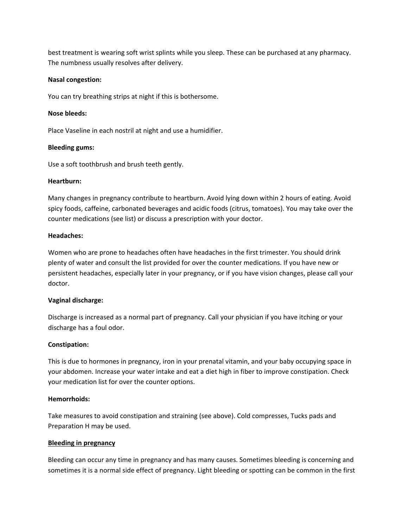best treatment is wearing soft wrist splints while you sleep. These can be purchased at any pharmacy. The numbness usually resolves after delivery.

### **Nasal congestion:**

You can try breathing strips at night if this is bothersome.

## **Nose bleeds:**

Place Vaseline in each nostril at night and use a humidifier.

### **Bleeding gums:**

Use a soft toothbrush and brush teeth gently.

### **Heartburn:**

Many changes in pregnancy contribute to heartburn. Avoid lying down within 2 hours of eating. Avoid spicy foods, caffeine, carbonated beverages and acidic foods (citrus, tomatoes). You may take over the counter medications (see list) or discuss a prescription with your doctor.

### **Headaches:**

Women who are prone to headaches often have headaches in the first trimester. You should drink plenty of water and consult the list provided for over the counter medications. If you have new or persistent headaches, especially later in your pregnancy, or if you have vision changes, please call your doctor.

## **Vaginal discharge:**

Discharge is increased as a normal part of pregnancy. Call your physician if you have itching or your discharge has a foul odor.

## **Constipation:**

This is due to hormones in pregnancy, iron in your prenatal vitamin, and your baby occupying space in your abdomen. Increase your water intake and eat a diet high in fiber to improve constipation. Check your medication list for over the counter options.

## **Hemorrhoids:**

Take measures to avoid constipation and straining (see above). Cold compresses, Tucks pads and Preparation H may be used.

## **Bleeding in pregnancy**

Bleeding can occur any time in pregnancy and has many causes. Sometimes bleeding is concerning and sometimes it is a normal side effect of pregnancy. Light bleeding or spotting can be common in the first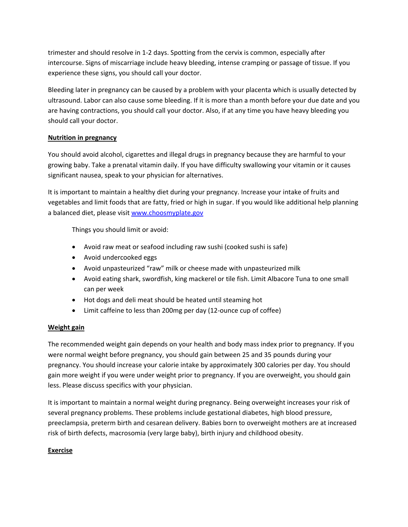trimester and should resolve in 1‐2 days. Spotting from the cervix is common, especially after intercourse. Signs of miscarriage include heavy bleeding, intense cramping or passage of tissue. If you experience these signs, you should call your doctor.

Bleeding later in pregnancy can be caused by a problem with your placenta which is usually detected by ultrasound. Labor can also cause some bleeding. If it is more than a month before your due date and you are having contractions, you should call your doctor. Also, if at any time you have heavy bleeding you should call your doctor.

# **Nutrition in pregnancy**

You should avoid alcohol, cigarettes and illegal drugs in pregnancy because they are harmful to your growing baby. Take a prenatal vitamin daily. If you have difficulty swallowing your vitamin or it causes significant nausea, speak to your physician for alternatives.

It is important to maintain a healthy diet during your pregnancy. Increase your intake of fruits and vegetables and limit foods that are fatty, fried or high in sugar. If you would like additional help planning a balanced diet, please visit [www.choosmyplate.gov](http://www.choosmyplate.gov/)

Things you should limit or avoid:

- Avoid raw meat or seafood including raw sushi (cooked sushi is safe)
- Avoid undercooked eggs
- Avoid unpasteurized "raw" milk or cheese made with unpasteurized milk
- Avoid eating shark, swordfish, king mackerel or tile fish. Limit Albacore Tuna to one small can per week
- Hot dogs and deli meat should be heated until steaming hot
- Limit caffeine to less than 200mg per day (12-ounce cup of coffee)

# **Weight gain**

The recommended weight gain depends on your health and body mass index prior to pregnancy. If you were normal weight before pregnancy, you should gain between 25 and 35 pounds during your pregnancy. You should increase your calorie intake by approximately 300 calories per day. You should gain more weight if you were under weight prior to pregnancy. If you are overweight, you should gain less. Please discuss specifics with your physician.

It is important to maintain a normal weight during pregnancy. Being overweight increases your risk of several pregnancy problems. These problems include gestational diabetes, high blood pressure, preeclampsia, preterm birth and cesarean delivery. Babies born to overweight mothers are at increased risk of birth defects, macrosomia (very large baby), birth injury and childhood obesity.

# **Exercise**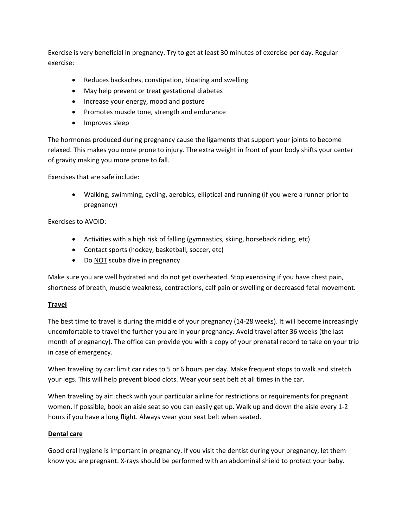Exercise is very beneficial in pregnancy. Try to get at least 30 minutes of exercise per day. Regular exercise:

- Reduces backaches, constipation, bloating and swelling
- May help prevent or treat gestational diabetes
- Increase your energy, mood and posture
- Promotes muscle tone, strength and endurance
- Improves sleep

The hormones produced during pregnancy cause the ligaments that support your joints to become relaxed. This makes you more prone to injury. The extra weight in front of your body shifts your center of gravity making you more prone to fall.

Exercises that are safe include:

• Walking, swimming, cycling, aerobics, elliptical and running (if you were a runner prior to pregnancy)

# Exercises to AVOID:

- Activities with a high risk of falling (gymnastics, skiing, horseback riding, etc)
- Contact sports (hockey, basketball, soccer, etc)
- Do NOT scuba dive in pregnancy

Make sure you are well hydrated and do not get overheated. Stop exercising if you have chest pain, shortness of breath, muscle weakness, contractions, calf pain or swelling or decreased fetal movement.

## **Travel**

The best time to travel is during the middle of your pregnancy (14‐28 weeks). It will become increasingly uncomfortable to travel the further you are in your pregnancy. Avoid travel after 36 weeks (the last month of pregnancy). The office can provide you with a copy of your prenatal record to take on your trip in case of emergency.

When traveling by car: limit car rides to 5 or 6 hours per day. Make frequent stops to walk and stretch your legs. This will help prevent blood clots. Wear your seat belt at all times in the car.

When traveling by air: check with your particular airline for restrictions or requirements for pregnant women. If possible, book an aisle seat so you can easily get up. Walk up and down the aisle every 1‐2 hours if you have a long flight. Always wear your seat belt when seated.

## **Dental care**

Good oral hygiene is important in pregnancy. If you visit the dentist during your pregnancy, let them know you are pregnant. X-rays should be performed with an abdominal shield to protect your baby.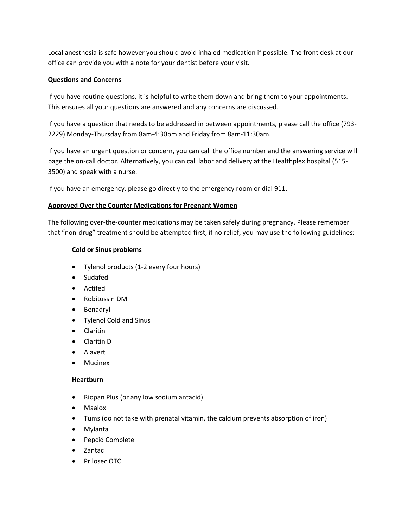Local anesthesia is safe however you should avoid inhaled medication if possible. The front desk at our office can provide you with a note for your dentist before your visit.

# **Questions and Concerns**

If you have routine questions, it is helpful to write them down and bring them to your appointments. This ensures all your questions are answered and any concerns are discussed.

If you have a question that needs to be addressed in between appointments, please call the office (793‐ 2229) Monday‐Thursday from 8am‐4:30pm and Friday from 8am‐11:30am.

If you have an urgent question or concern, you can call the office number and the answering service will page the on-call doctor. Alternatively, you can call labor and delivery at the Healthplex hospital (515-3500) and speak with a nurse.

If you have an emergency, please go directly to the emergency room or dial 911.

# **Approved Over the Counter Medications for Pregnant Women**

The following over-the-counter medications may be taken safely during pregnancy. Please remember that "non‐drug" treatment should be attempted first, if no relief, you may use the following guidelines:

## **Cold or Sinus problems**

- Tylenol products (1‐2 every four hours)
- Sudafed
- Actifed
- Robitussin DM
- Benadryl
- Tylenol Cold and Sinus
- Claritin
- Claritin D
- Alavert
- Mucinex

## **Heartburn**

- Riopan Plus (or any low sodium antacid)
- Maalox
- Tums (do not take with prenatal vitamin, the calcium prevents absorption of iron)
- Mylanta
- Pepcid Complete
- Zantac
- Prilosec OTC